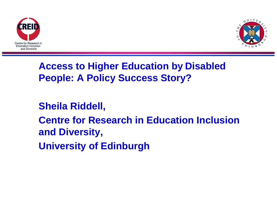



## **Access to Higher Education by Disabled People: A Policy Success Story?**

**Sheila Riddell, Centre for Research in Education Inclusion and Diversity, University of Edinburgh**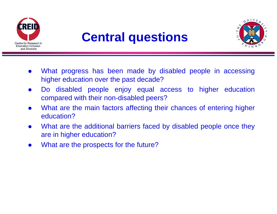

# **Central questions**



- $\bullet$  What progress has been made by disabled people in accessing higher education over the past decade?
- $\bullet$  Do disabled people enjoy equal access to higher education compared with their non-disabled peers?
- $\bullet$  What are the main factors affecting their chances of entering higher education?
- $\bullet$  What are the additional barriers faced by disabled people once they are in higher education?
- $\bullet$ What are the prospects for the future?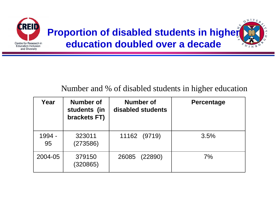

### Number and % of disabled students in higher education

| Year         | Number of<br>students (in<br>brackets FT) | <b>Number of</b><br>disabled students | <b>Percentage</b> |
|--------------|-------------------------------------------|---------------------------------------|-------------------|
| 1994 -<br>95 | 323011<br>(273586)                        | 11162 (9719)                          | 3.5%              |
| 2004-05      | 379150<br>(320865)                        | 26085 (22890)                         | 7%                |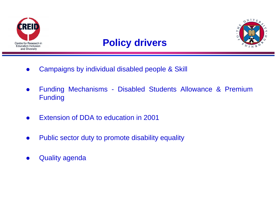

### **Policy drivers**



- $\bullet$ Campaigns by individual disabled people & Skill
- $\bullet$  Funding Mechanisms - Disabled Students Allowance & Premium Funding
- $\bullet$ Extension of DDA to education in 2001
- $\bullet$ Public sector duty to promote disability equality
- $\bullet$ Quality agenda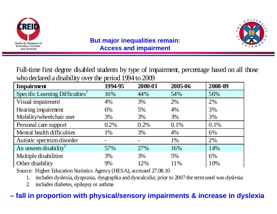



#### **But major inequalities remain: Access and impairment**

Full-time first degree disabled students by type of impairment, percentage based on all those who declared a disability over the period 1994 to 2009

| <b>Impairment</b>                           | 1994-95 | 2000-01                  | 2005-06 | 2008-09 |
|---------------------------------------------|---------|--------------------------|---------|---------|
| Specific Learning Difficulties <sup>1</sup> | 16%     | 44%                      | 54%     | 56%     |
| Visual impairment                           | 4%      | 3%                       | 2%      | 2%      |
| Hearing impairment                          | 6%      | 5%                       | 4%      | 3%      |
| Mobility/wheelchair user                    | 3%      | 3%                       | 3%      | 3%      |
| Personal care support                       | 0.2%    | 0.2%                     | 0.1%    | 0.1%    |
| Mental health difficulties                  | 1%      | 3%                       | 4%      | 6%      |
| Autistic spectrum disorder                  |         | $\overline{\phantom{0}}$ | 1%      | 2%      |
| An unseen disability <sup>2</sup>           | 57%     | 27%                      | 16%     | 14%     |
| Multiple disabilities                       | 3%      | 3%                       | 5%      | 6%      |
| Other disability                            | 9%      | 12%                      | 11%     | 10%     |

Source: Higher Education Statistics Agency (HESA), accessed 27.08.10

1.includes dyslexia, dyspraxia, dysgraphia and dyscalculia; prior to 2007 the term used was dyslexia

2.includes diabetes, epilepsy or asthma

### **– fall in proportion with physical/sensory impairments & increase in dyslexia**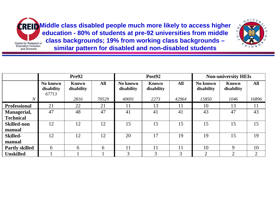Centre for Research in<br>Education Inclusion and Diversity

**Middle class disabled people much more likely to access higher education - 80% of students at pre-92 universities from middle class backgrounds; 19% from working class backgrounds – similar pattern for disabled and non-disabled students**



|                       | Pre92                           |                            |            | Post92                 |                            | <b>Non-university HEIs</b> |                        |                            |                |
|-----------------------|---------------------------------|----------------------------|------------|------------------------|----------------------------|----------------------------|------------------------|----------------------------|----------------|
|                       | No known<br>disability<br>67713 | <b>Known</b><br>disability | <b>All</b> | No known<br>disability | <b>Known</b><br>disability | <b>All</b>                 | No known<br>disability | <b>Known</b><br>disability | <b>All</b>     |
| $\boldsymbol{N}$      |                                 | 2816                       | 70529      | 40691                  | 2273                       | 42964                      | 15850                  | 1046                       | 16896          |
| <b>Professional</b>   | 21                              | 22                         | 21         | 11                     | 13                         | 11                         | 10                     | 13                         | 11             |
| <b>Managerial,</b>    | 47                              | 48                         | 47         | 41                     | 41                         | 41                         | 43                     | 47                         | 43             |
| <b>Technical</b>      |                                 |                            |            |                        |                            |                            |                        |                            |                |
| <b>Skilled-non</b>    | 12                              | 12                         | 12         | 15                     | 15                         | 15                         | 15                     | 15                         | 15             |
| manual                |                                 |                            |            |                        |                            |                            |                        |                            |                |
| <b>Skilled-</b>       | 12                              | 12                         | 12         | 20                     | 17                         | 19                         | 19                     | 15                         | 19             |
| manual                |                                 |                            |            |                        |                            |                            |                        |                            |                |
| <b>Partly skilled</b> | 6                               | 6                          | 6          | 11                     | 11                         | 11                         | 10                     | $\mathbf Q$                | 10             |
| <b>Unskilled</b>      |                                 |                            |            | 3                      | 3                          | 3                          | $\overline{2}$         | $\mathcal{D}$              | $\overline{2}$ |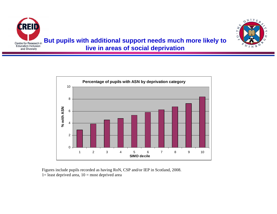



Figures include pupils recorded as having RoN, CSP and/or IEP in Scotland, 2008.  $1=$  least deprived area,  $10=$  most deprived area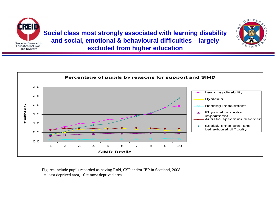

**Social class most strongly associated with learning disability and social, emotional & behavioural difficulties – largely excluded from higher education**





Figures include pupils recorded as having RoN, CSP and/or IEP in Scotland, 2008.  $1=$  least deprived area,  $10=$  most deprived area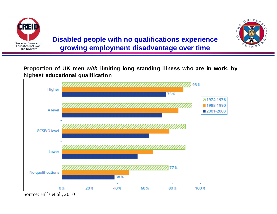



Proportion of UK men *with* limiting long standing illness who are in work, by **highest educational qualification** 

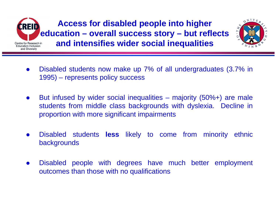

**Access for disabled people into higher education – overall success story – but reflects and intensifies wider social inequalities**



- $\bullet$  Disabled students now make up 7% of all undergraduates (3.7% in 1995) – represents policy success
- $\bullet$  But infused by wider social inequalities – majority (50%+) are male students from middle class backgrounds with dyslexia. Decline in proportion with more significant impairments
- $\bullet$  Disabled students **less** likely to come from minority ethnic backgrounds
- $\bullet$  Disabled people with degrees have much better employment outcomes than those with no qualifications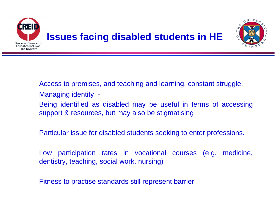

Access to premises, and teaching and learning, constant struggle. Managing identity -

Being identified as disabled may be useful in terms of accessing support & resources, but may also be stigmatising

Particular issue for disabled students seeking to enter professions.

Low participation rates in vocational courses (e.g. medicine, dentistry, teaching, social work, nursing)

Fitness to practise standards still represent barrier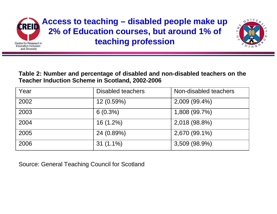



#### **Table 2: Number and percentage of disabled and non-disabled teachers on the Teacher Induction Scheme in Scotland, 2002-2006**

| Year | <b>Disabled teachers</b> | Non-disabled teachers |
|------|--------------------------|-----------------------|
| 2002 | $12(0.59\%)$             | 2,009 (99.4%)         |
| 2003 | $6(0.3\%)$               | 1,808 (99.7%)         |
| 2004 | $16(1.2\%)$              | 2,018 (98.8%)         |
| 2005 | 24 (0.89%)               | 2,670 (99.1%)         |
| 2006 | $31(1.1\%)$              | 3,509 (98.9%)         |

Source: General Teaching Council for Scotland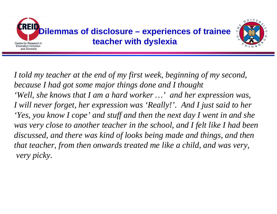

*I told my teacher at the end of my first week, beginning of my second, because I had got some major things done and I thought 'Well, she knows that I am a hard worker …' and her expression was, I will never forget, her expression was 'Really!'. And I just said to her 'Yes, you know I cope' and stuff and then the next day I went in and she was very close to another teacher in the school, and I felt like I had been discussed, and there was kind of looks being made and things, and then that teacher, from then onwards treated me like a child, and was very, very picky.*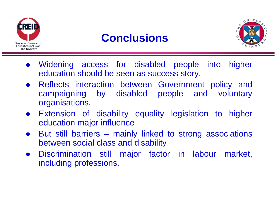![](_page_13_Picture_0.jpeg)

# **Conclusions**

![](_page_13_Picture_2.jpeg)

- $\bullet$  Widening access for disabled people into higher education should be seen as success story.
- **Reflects interaction between Government policy and** campaigning by disabled people and voluntary organisations.
- **•** Extension of disability equality legislation to higher education major influence
- $\bullet$  But still barriers – mainly linked to strong associations between social class and disability
- **•** Discrimination still major factor in labour market, including professions.